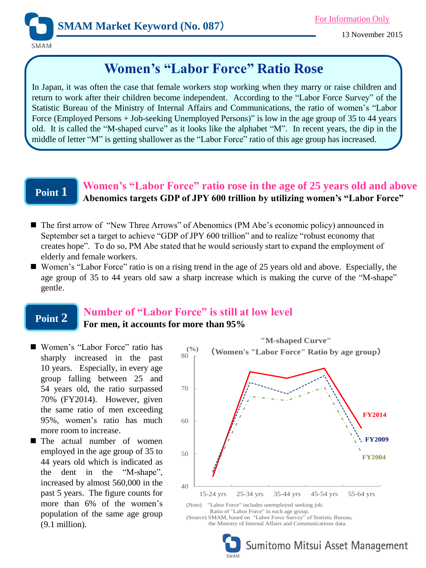

13 November 2015

# **Women's "Labor Force" Ratio Rose**

In Japan, it was often the case that female workers stop working when they marry or raise children and return to work after their children become independent. According to the "Labor Force Survey" of the Statistic Bureau of the Ministry of Internal Affairs and Communications, the ratio of women's "Labor Force (Employed Persons + Job-seeking Unemployed Persons)" is low in the age group of 35 to 44 years old. It is called the "M-shaped curve" as it looks like the alphabet "M". In recent years, the dip in the middle of letter "M" is getting shallower as the "Labor Force" ratio of this age group has increased.

## **Point 1**

### **Women's "Labor Force" ratio rose in the age of 25 years old and above Abenomics targets GDP of JPY 600 trillion by utilizing women's "Labor Force"**

- The first arrow of "New Three Arrows" of Abenomics (PM Abe's economic policy) announced in September set a target to achieve "GDP of JPY 600 trillion" and to realize "robust economy that creates hope". To do so, PM Abe stated that he would seriously start to expand the employment of elderly and female workers.
- Women's "Labor Force" ratio is on a rising trend in the age of 25 years old and above. Especially, the age group of 35 to 44 years old saw a sharp increase which is making the curve of the "M-shape" gentle.

# **Point 2**

### **Number of "Labor Force" is still at low level For men, it accounts for more than 95%**

- Women's "Labor Force" ratio has sharply increased in the past 10 years. Especially, in every age group falling between 25 and 54 years old, the ratio surpassed 70% (FY2014). However, given the same ratio of men exceeding 95%, women's ratio has much more room to increase.
- **The actual number of women** employed in the age group of 35 to 44 years old which is indicated as the dent in the "M-shape", increased by almost 560,000 in the past 5 years. The figure counts for more than 6% of the women's population of the same age group (9.1 million).